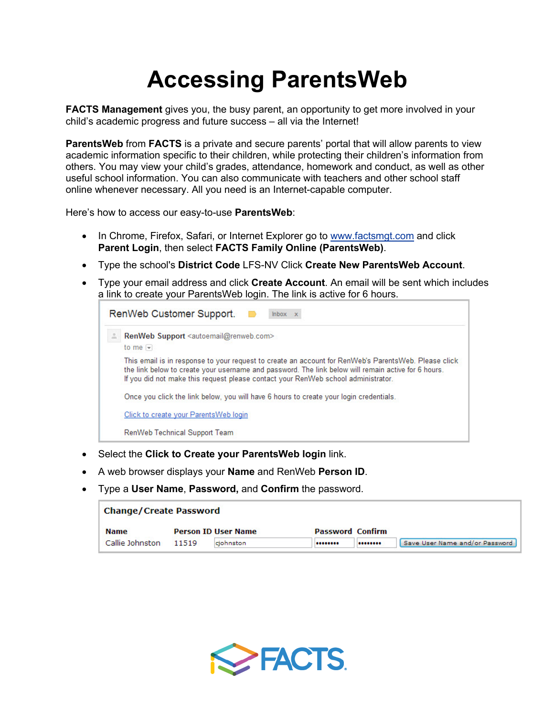## **Accessing ParentsWeb**

**FACTS Management** gives you, the busy parent, an opportunity to get more involved in your child's academic progress and future success – all via the Internet!

**ParentsWeb** from **FACTS** is a private and secure parents' portal that will allow parents to view academic information specific to their children, while protecting their children's information from others. You may view your child's grades, attendance, homework and conduct, as well as other useful school information. You can also communicate with teachers and other school staff online whenever necessary. All you need is an Internet-capable computer.

Here's how to access our easy-to-use **ParentsWeb**:

- In Chrome, Firefox, Safari, or Internet Explorer go to www.factsmgt.com and click **Parent Login**, then select **FACTS Family Online (ParentsWeb)**.
- Type the school's **District Code** LFS-NV Click **Create New ParentsWeb Account**.
- Type your email address and click **Create Account**. An email will be sent which includes a link to create your ParentsWeb login. The link is active for 6 hours.

| RenWeb Customer Support.<br>$lnbox \times$                                                                 |                                                                                                                                                                                                                                                                                                  |  |  |  |  |  |  |  |  |
|------------------------------------------------------------------------------------------------------------|--------------------------------------------------------------------------------------------------------------------------------------------------------------------------------------------------------------------------------------------------------------------------------------------------|--|--|--|--|--|--|--|--|
| RenWeb Support <autoemail@renweb.com><br/>to me <math>\vert \mathbf{v} \vert</math></autoemail@renweb.com> |                                                                                                                                                                                                                                                                                                  |  |  |  |  |  |  |  |  |
|                                                                                                            | This email is in response to your request to create an account for RenWeb's ParentsWeb. Please click<br>the link below to create your username and password. The link below will remain active for 6 hours.<br>If you did not make this request please contact your RenWeb school administrator. |  |  |  |  |  |  |  |  |
|                                                                                                            | Once you click the link below, you will have 6 hours to create your login credentials.                                                                                                                                                                                                           |  |  |  |  |  |  |  |  |
|                                                                                                            | Click to create your Parents Web login                                                                                                                                                                                                                                                           |  |  |  |  |  |  |  |  |
|                                                                                                            | RenWeb Technical Support Team                                                                                                                                                                                                                                                                    |  |  |  |  |  |  |  |  |

- Select the **Click to Create your ParentsWeb login** link.
- A web browser displays your **Name** and RenWeb **Person ID**.
- Type a **User Name**, **Password,** and **Confirm** the password.

| <b>Change/Create Password</b> |       |                                                       |  |  |                                |  |  |  |  |
|-------------------------------|-------|-------------------------------------------------------|--|--|--------------------------------|--|--|--|--|
| <b>Name</b>                   |       | <b>Password Confirm</b><br><b>Person ID User Name</b> |  |  |                                |  |  |  |  |
| Callie Johnston               | 11519 | cjohnston                                             |  |  | Save User Name and/or Password |  |  |  |  |